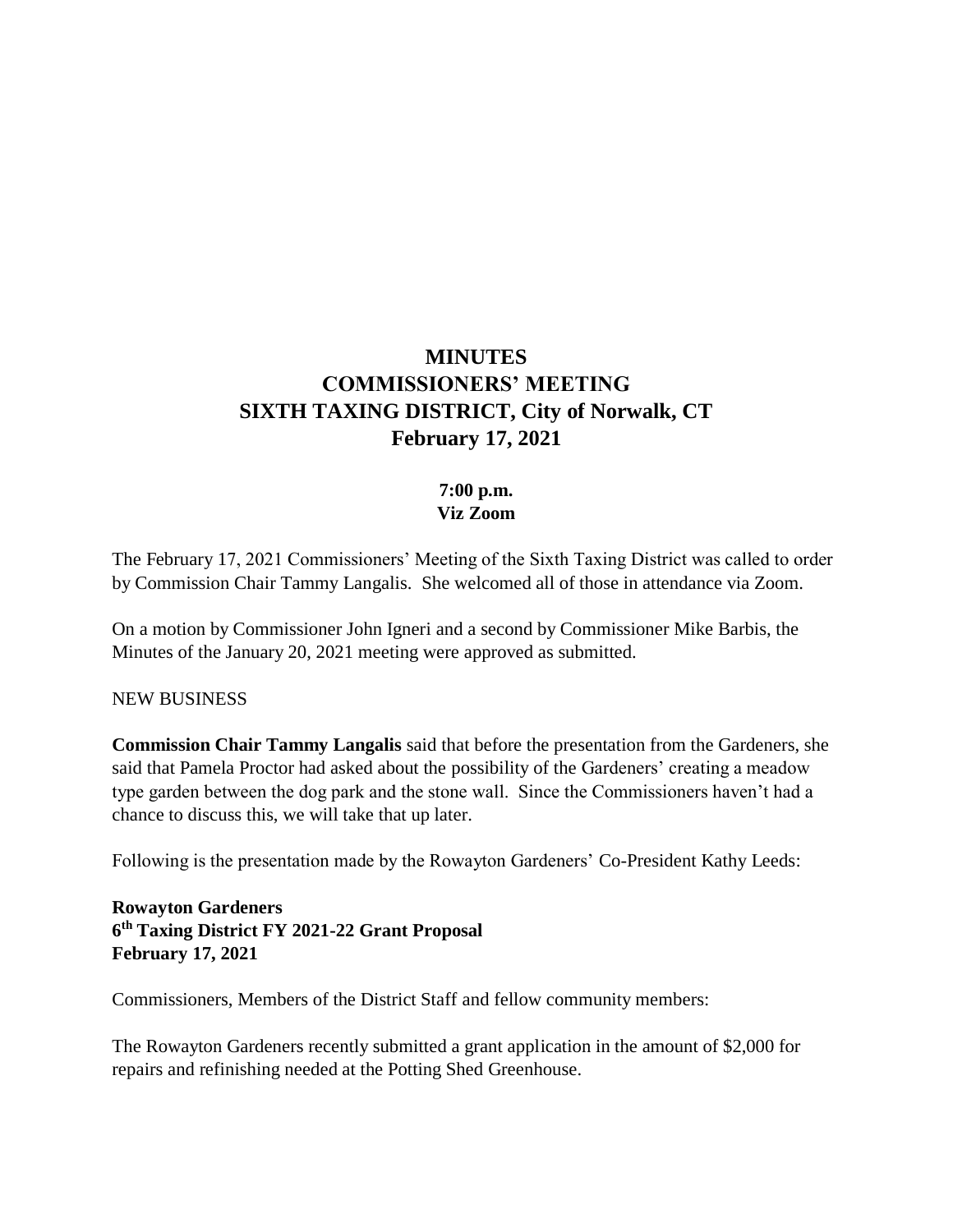# **MINUTES COMMISSIONERS' MEETING SIXTH TAXING DISTRICT, City of Norwalk, CT February 17, 2021**

## **7:00 p.m. Viz Zoom**

The February 17, 2021 Commissioners' Meeting of the Sixth Taxing District was called to order by Commission Chair Tammy Langalis. She welcomed all of those in attendance via Zoom.

On a motion by Commissioner John Igneri and a second by Commissioner Mike Barbis, the Minutes of the January 20, 2021 meeting were approved as submitted.

#### NEW BUSINESS

**Commission Chair Tammy Langalis** said that before the presentation from the Gardeners, she said that Pamela Proctor had asked about the possibility of the Gardeners' creating a meadow type garden between the dog park and the stone wall. Since the Commissioners haven't had a chance to discuss this, we will take that up later.

Following is the presentation made by the Rowayton Gardeners' Co-President Kathy Leeds:

**Rowayton Gardeners 6 th Taxing District FY 2021-22 Grant Proposal February 17, 2021**

Commissioners, Members of the District Staff and fellow community members:

The Rowayton Gardeners recently submitted a grant application in the amount of \$2,000 for repairs and refinishing needed at the Potting Shed Greenhouse.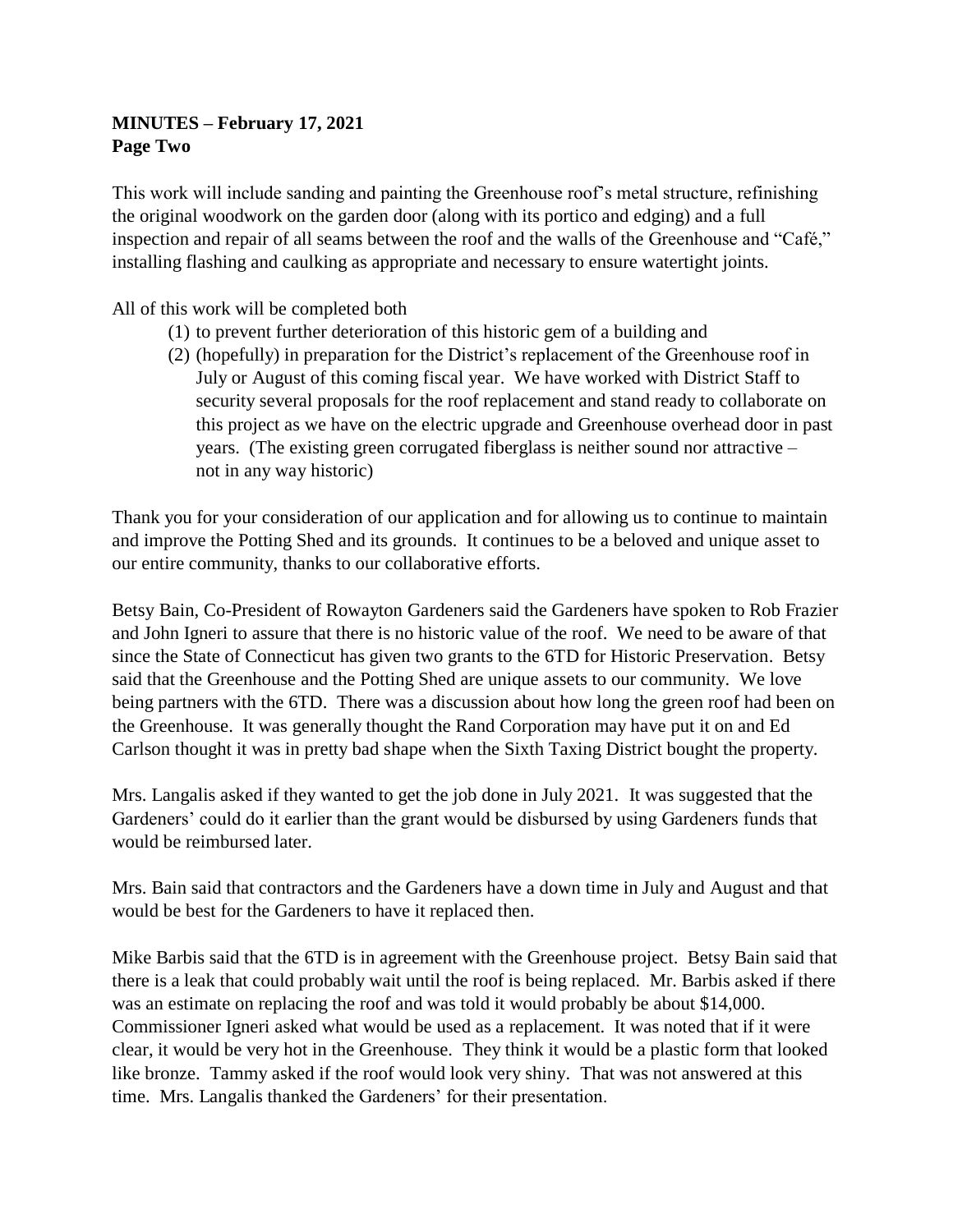# **MINUTES – February 17, 2021 Page Two**

This work will include sanding and painting the Greenhouse roof's metal structure, refinishing the original woodwork on the garden door (along with its portico and edging) and a full inspection and repair of all seams between the roof and the walls of the Greenhouse and "Café," installing flashing and caulking as appropriate and necessary to ensure watertight joints.

All of this work will be completed both

- (1) to prevent further deterioration of this historic gem of a building and
- (2) (hopefully) in preparation for the District's replacement of the Greenhouse roof in July or August of this coming fiscal year. We have worked with District Staff to security several proposals for the roof replacement and stand ready to collaborate on this project as we have on the electric upgrade and Greenhouse overhead door in past years. (The existing green corrugated fiberglass is neither sound nor attractive – not in any way historic)

Thank you for your consideration of our application and for allowing us to continue to maintain and improve the Potting Shed and its grounds. It continues to be a beloved and unique asset to our entire community, thanks to our collaborative efforts.

Betsy Bain, Co-President of Rowayton Gardeners said the Gardeners have spoken to Rob Frazier and John Igneri to assure that there is no historic value of the roof. We need to be aware of that since the State of Connecticut has given two grants to the 6TD for Historic Preservation. Betsy said that the Greenhouse and the Potting Shed are unique assets to our community. We love being partners with the 6TD. There was a discussion about how long the green roof had been on the Greenhouse. It was generally thought the Rand Corporation may have put it on and Ed Carlson thought it was in pretty bad shape when the Sixth Taxing District bought the property.

Mrs. Langalis asked if they wanted to get the job done in July 2021. It was suggested that the Gardeners' could do it earlier than the grant would be disbursed by using Gardeners funds that would be reimbursed later.

Mrs. Bain said that contractors and the Gardeners have a down time in July and August and that would be best for the Gardeners to have it replaced then.

Mike Barbis said that the 6TD is in agreement with the Greenhouse project. Betsy Bain said that there is a leak that could probably wait until the roof is being replaced. Mr. Barbis asked if there was an estimate on replacing the roof and was told it would probably be about \$14,000. Commissioner Igneri asked what would be used as a replacement. It was noted that if it were clear, it would be very hot in the Greenhouse. They think it would be a plastic form that looked like bronze. Tammy asked if the roof would look very shiny. That was not answered at this time. Mrs. Langalis thanked the Gardeners' for their presentation.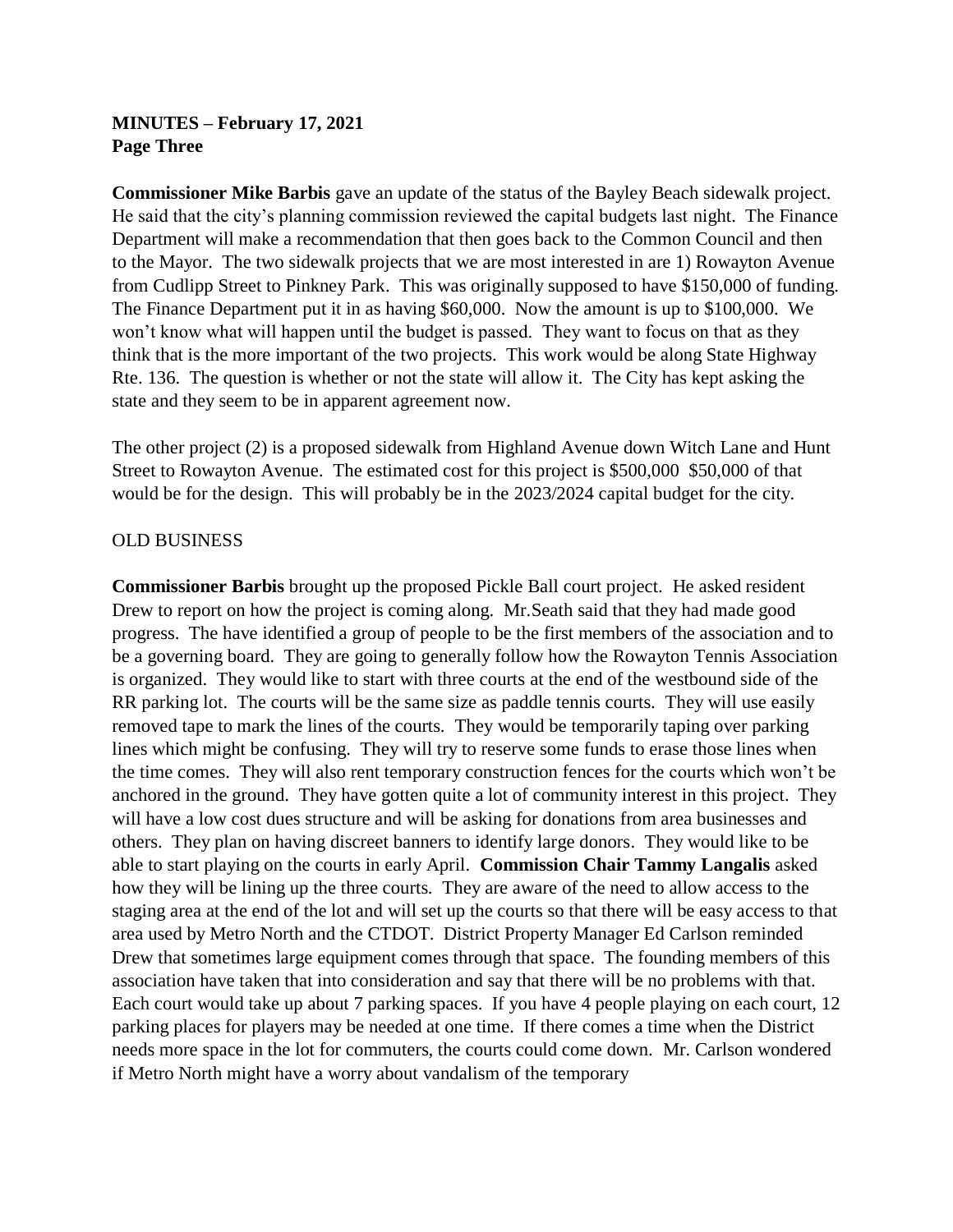# **MINUTES – February 17, 2021 Page Three**

**Commissioner Mike Barbis** gave an update of the status of the Bayley Beach sidewalk project. He said that the city's planning commission reviewed the capital budgets last night. The Finance Department will make a recommendation that then goes back to the Common Council and then to the Mayor. The two sidewalk projects that we are most interested in are 1) Rowayton Avenue from Cudlipp Street to Pinkney Park. This was originally supposed to have \$150,000 of funding. The Finance Department put it in as having \$60,000. Now the amount is up to \$100,000. We won't know what will happen until the budget is passed. They want to focus on that as they think that is the more important of the two projects. This work would be along State Highway Rte. 136. The question is whether or not the state will allow it. The City has kept asking the state and they seem to be in apparent agreement now.

The other project (2) is a proposed sidewalk from Highland Avenue down Witch Lane and Hunt Street to Rowayton Avenue. The estimated cost for this project is \$500,000 \$50,000 of that would be for the design. This will probably be in the 2023/2024 capital budget for the city.

#### OLD BUSINESS

**Commissioner Barbis** brought up the proposed Pickle Ball court project. He asked resident Drew to report on how the project is coming along. Mr.Seath said that they had made good progress. The have identified a group of people to be the first members of the association and to be a governing board. They are going to generally follow how the Rowayton Tennis Association is organized. They would like to start with three courts at the end of the westbound side of the RR parking lot. The courts will be the same size as paddle tennis courts. They will use easily removed tape to mark the lines of the courts. They would be temporarily taping over parking lines which might be confusing. They will try to reserve some funds to erase those lines when the time comes. They will also rent temporary construction fences for the courts which won't be anchored in the ground. They have gotten quite a lot of community interest in this project. They will have a low cost dues structure and will be asking for donations from area businesses and others. They plan on having discreet banners to identify large donors. They would like to be able to start playing on the courts in early April. **Commission Chair Tammy Langalis** asked how they will be lining up the three courts. They are aware of the need to allow access to the staging area at the end of the lot and will set up the courts so that there will be easy access to that area used by Metro North and the CTDOT. District Property Manager Ed Carlson reminded Drew that sometimes large equipment comes through that space. The founding members of this association have taken that into consideration and say that there will be no problems with that. Each court would take up about 7 parking spaces. If you have 4 people playing on each court, 12 parking places for players may be needed at one time. If there comes a time when the District needs more space in the lot for commuters, the courts could come down. Mr. Carlson wondered if Metro North might have a worry about vandalism of the temporary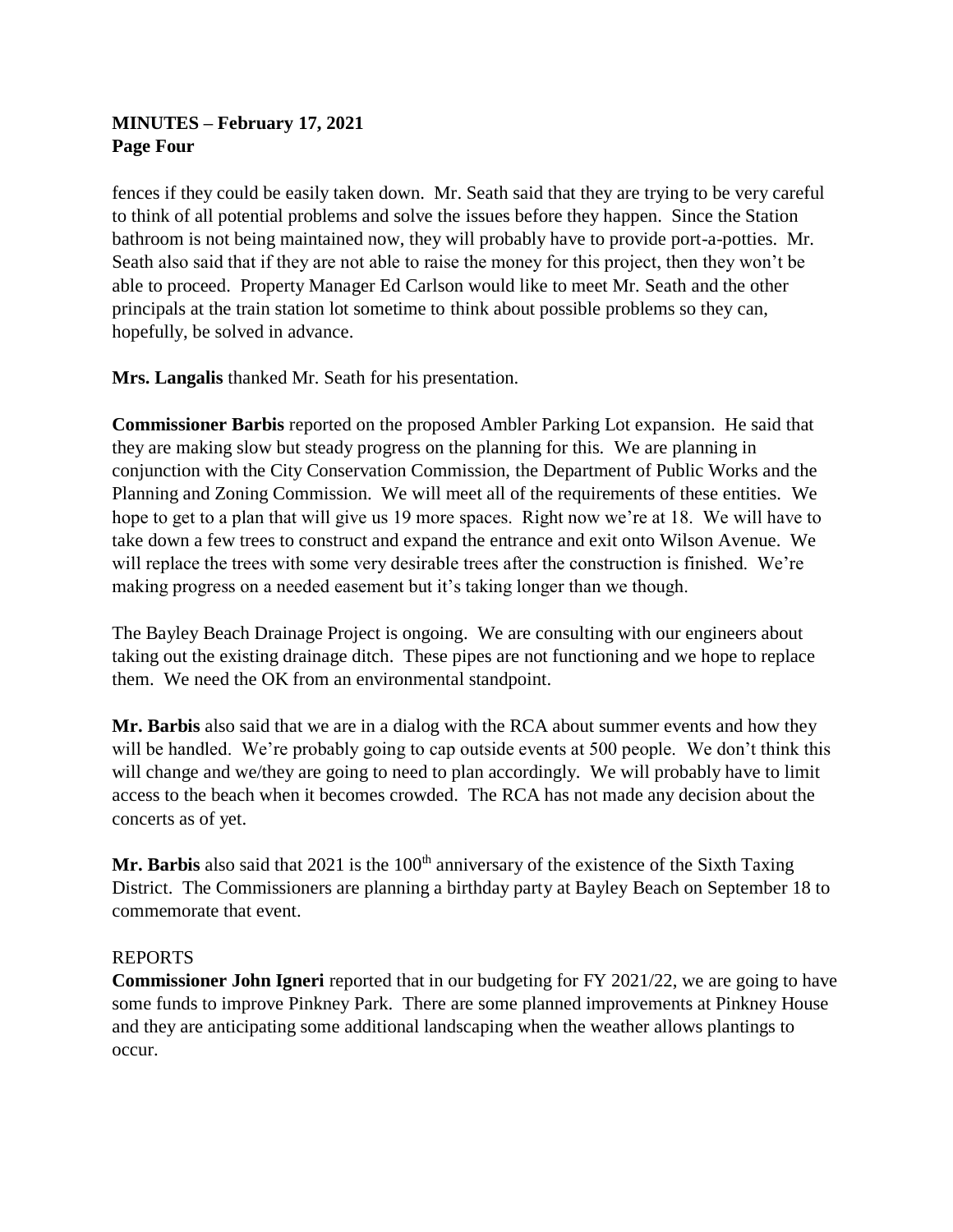# **MINUTES – February 17, 2021 Page Four**

fences if they could be easily taken down. Mr. Seath said that they are trying to be very careful to think of all potential problems and solve the issues before they happen. Since the Station bathroom is not being maintained now, they will probably have to provide port-a-potties. Mr. Seath also said that if they are not able to raise the money for this project, then they won't be able to proceed. Property Manager Ed Carlson would like to meet Mr. Seath and the other principals at the train station lot sometime to think about possible problems so they can, hopefully, be solved in advance.

**Mrs. Langalis** thanked Mr. Seath for his presentation.

**Commissioner Barbis** reported on the proposed Ambler Parking Lot expansion. He said that they are making slow but steady progress on the planning for this. We are planning in conjunction with the City Conservation Commission, the Department of Public Works and the Planning and Zoning Commission. We will meet all of the requirements of these entities. We hope to get to a plan that will give us 19 more spaces. Right now we're at 18. We will have to take down a few trees to construct and expand the entrance and exit onto Wilson Avenue. We will replace the trees with some very desirable trees after the construction is finished. We're making progress on a needed easement but it's taking longer than we though.

The Bayley Beach Drainage Project is ongoing. We are consulting with our engineers about taking out the existing drainage ditch. These pipes are not functioning and we hope to replace them. We need the OK from an environmental standpoint.

**Mr. Barbis** also said that we are in a dialog with the RCA about summer events and how they will be handled. We're probably going to cap outside events at 500 people. We don't think this will change and we/they are going to need to plan accordingly. We will probably have to limit access to the beach when it becomes crowded. The RCA has not made any decision about the concerts as of yet.

Mr. Barbis also said that 2021 is the 100<sup>th</sup> anniversary of the existence of the Sixth Taxing District. The Commissioners are planning a birthday party at Bayley Beach on September 18 to commemorate that event.

## REPORTS

**Commissioner John Igneri** reported that in our budgeting for FY 2021/22, we are going to have some funds to improve Pinkney Park. There are some planned improvements at Pinkney House and they are anticipating some additional landscaping when the weather allows plantings to occur.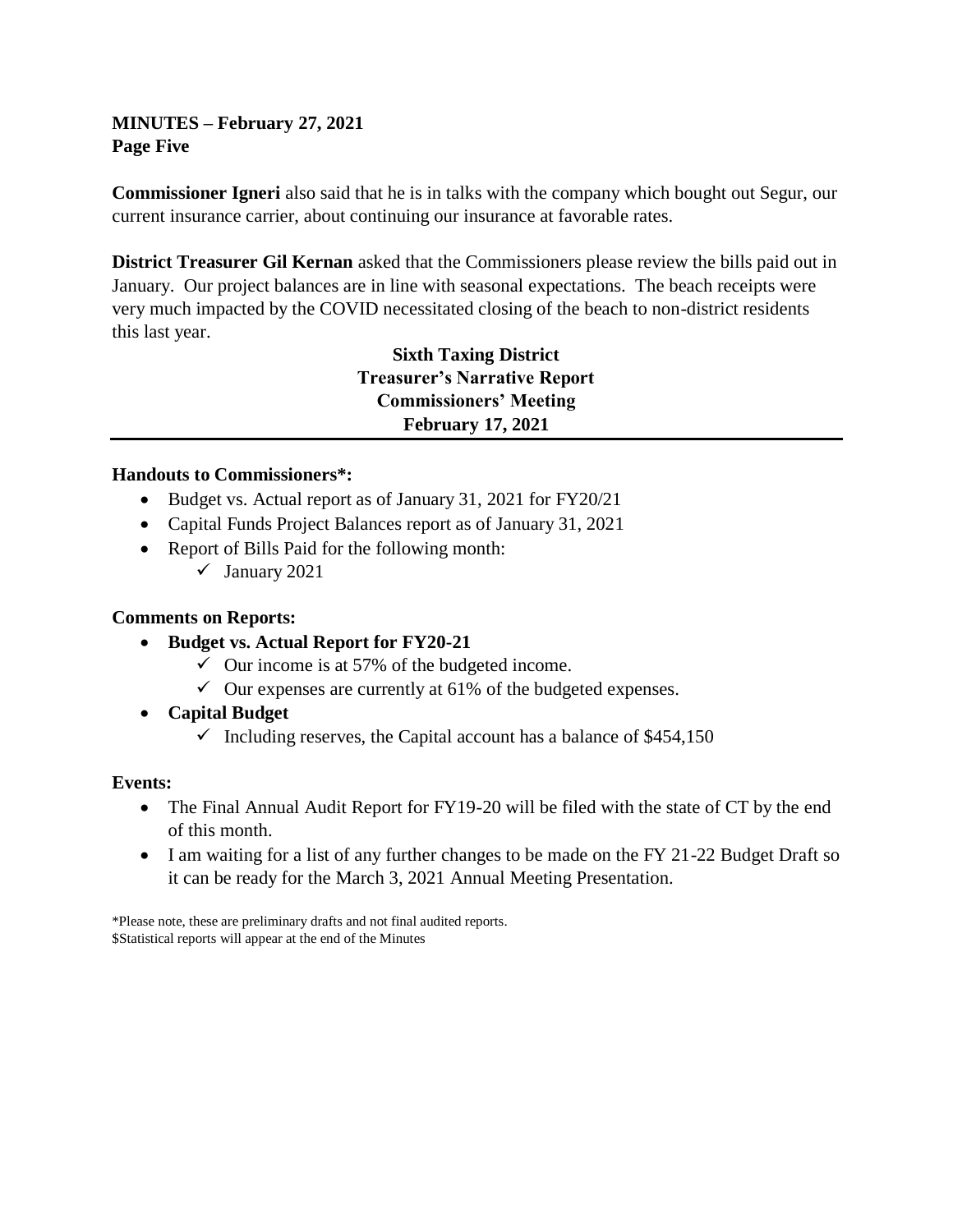**MINUTES – February 27, 2021 Page Five**

**Commissioner Igneri** also said that he is in talks with the company which bought out Segur, our current insurance carrier, about continuing our insurance at favorable rates.

**District Treasurer Gil Kernan** asked that the Commissioners please review the bills paid out in January. Our project balances are in line with seasonal expectations. The beach receipts were very much impacted by the COVID necessitated closing of the beach to non-district residents this last year.

> **Sixth Taxing District Treasurer's Narrative Report Commissioners' Meeting February 17, 2021**

### **Handouts to Commissioners\*:**

- Budget vs. Actual report as of January 31, 2021 for FY20/21
- Capital Funds Project Balances report as of January 31, 2021
- Report of Bills Paid for the following month:
	- $\checkmark$  January 2021

## **Comments on Reports:**

- **Budget vs. Actual Report for FY20-21**
	- $\checkmark$  Our income is at 57% of the budgeted income.
	- $\checkmark$  Our expenses are currently at 61% of the budgeted expenses.
- **Capital Budget**
	- $\checkmark$  Including reserves, the Capital account has a balance of \$454,150

## **Events:**

- The Final Annual Audit Report for FY19-20 will be filed with the state of CT by the end of this month.
- I am waiting for a list of any further changes to be made on the FY 21-22 Budget Draft so it can be ready for the March 3, 2021 Annual Meeting Presentation.

\*Please note, these are preliminary drafts and not final audited reports. \$Statistical reports will appear at the end of the Minutes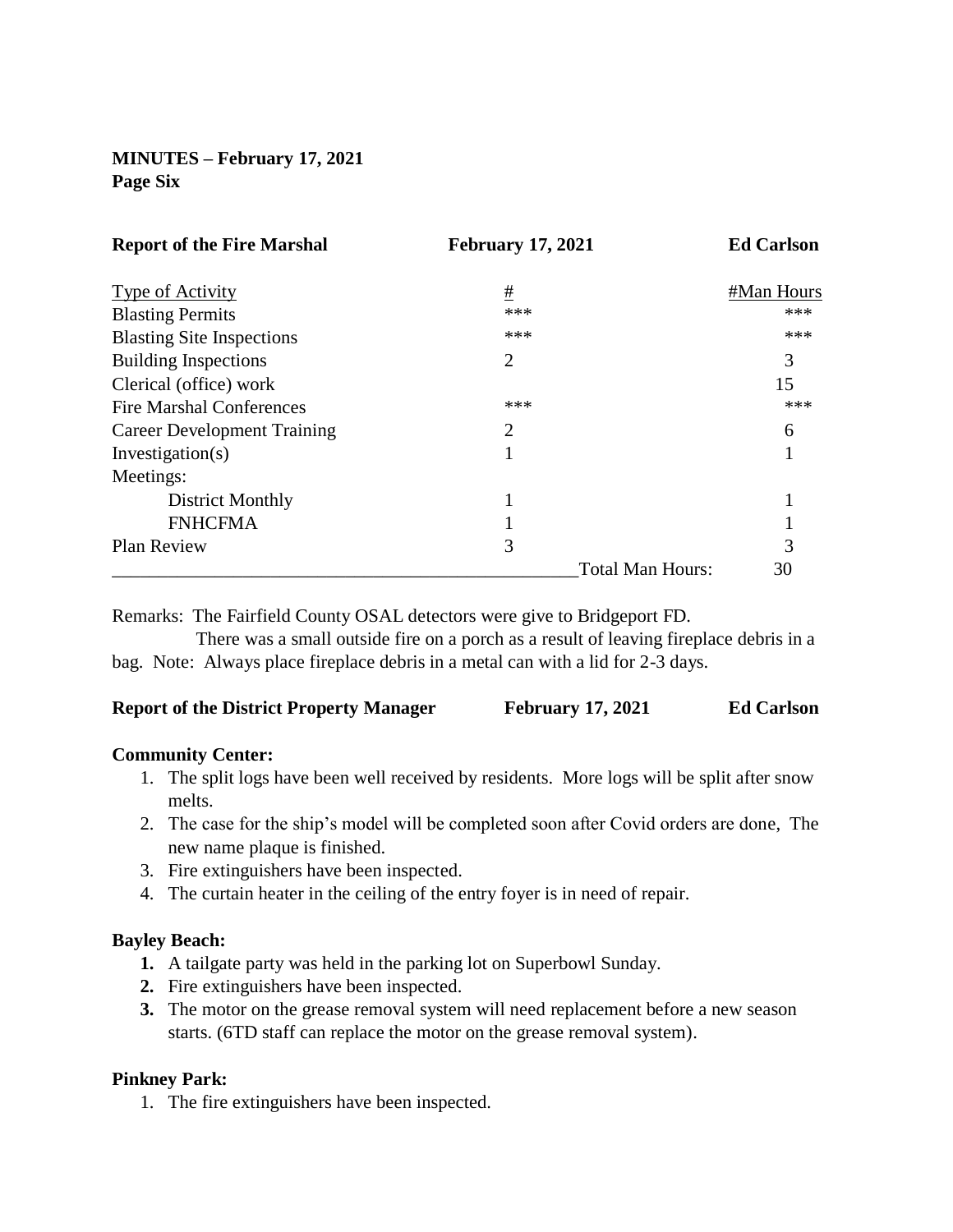# **MINUTES – February 17, 2021 Page Six**

| <b>Report of the Fire Marshal</b>  | <b>February 17, 2021</b> | <b>Ed Carlson</b> |
|------------------------------------|--------------------------|-------------------|
| Type of Activity                   | #                        | #Man Hours        |
| <b>Blasting Permits</b>            | ***                      | ***               |
| <b>Blasting Site Inspections</b>   | ***                      | ***               |
| <b>Building Inspections</b>        | 2                        | 3                 |
| Clerical (office) work             |                          | 15                |
| <b>Fire Marshal Conferences</b>    | ***                      | ***               |
| <b>Career Development Training</b> | $\overline{2}$           | 6                 |
| Investigation $(s)$                |                          |                   |
| Meetings:                          |                          |                   |
| District Monthly                   |                          |                   |
| <b>FNHCFMA</b>                     |                          |                   |
| Plan Review                        | 3                        | 3                 |
|                                    | <b>Total Man Hours:</b>  | 30                |

Remarks: The Fairfield County OSAL detectors were give to Bridgeport FD.

 There was a small outside fire on a porch as a result of leaving fireplace debris in a bag. Note: Always place fireplace debris in a metal can with a lid for 2-3 days.

| <b>Report of the District Property Manager</b> | <b>February 17, 2021</b> | <b>Ed Carlson</b> |
|------------------------------------------------|--------------------------|-------------------|
|------------------------------------------------|--------------------------|-------------------|

#### **Community Center:**

- 1. The split logs have been well received by residents. More logs will be split after snow melts.
- 2. The case for the ship's model will be completed soon after Covid orders are done, The new name plaque is finished.
- 3. Fire extinguishers have been inspected.
- 4. The curtain heater in the ceiling of the entry foyer is in need of repair.

#### **Bayley Beach:**

- **1.** A tailgate party was held in the parking lot on Superbowl Sunday.
- **2.** Fire extinguishers have been inspected.
- **3.** The motor on the grease removal system will need replacement before a new season starts. (6TD staff can replace the motor on the grease removal system).

#### **Pinkney Park:**

1. The fire extinguishers have been inspected.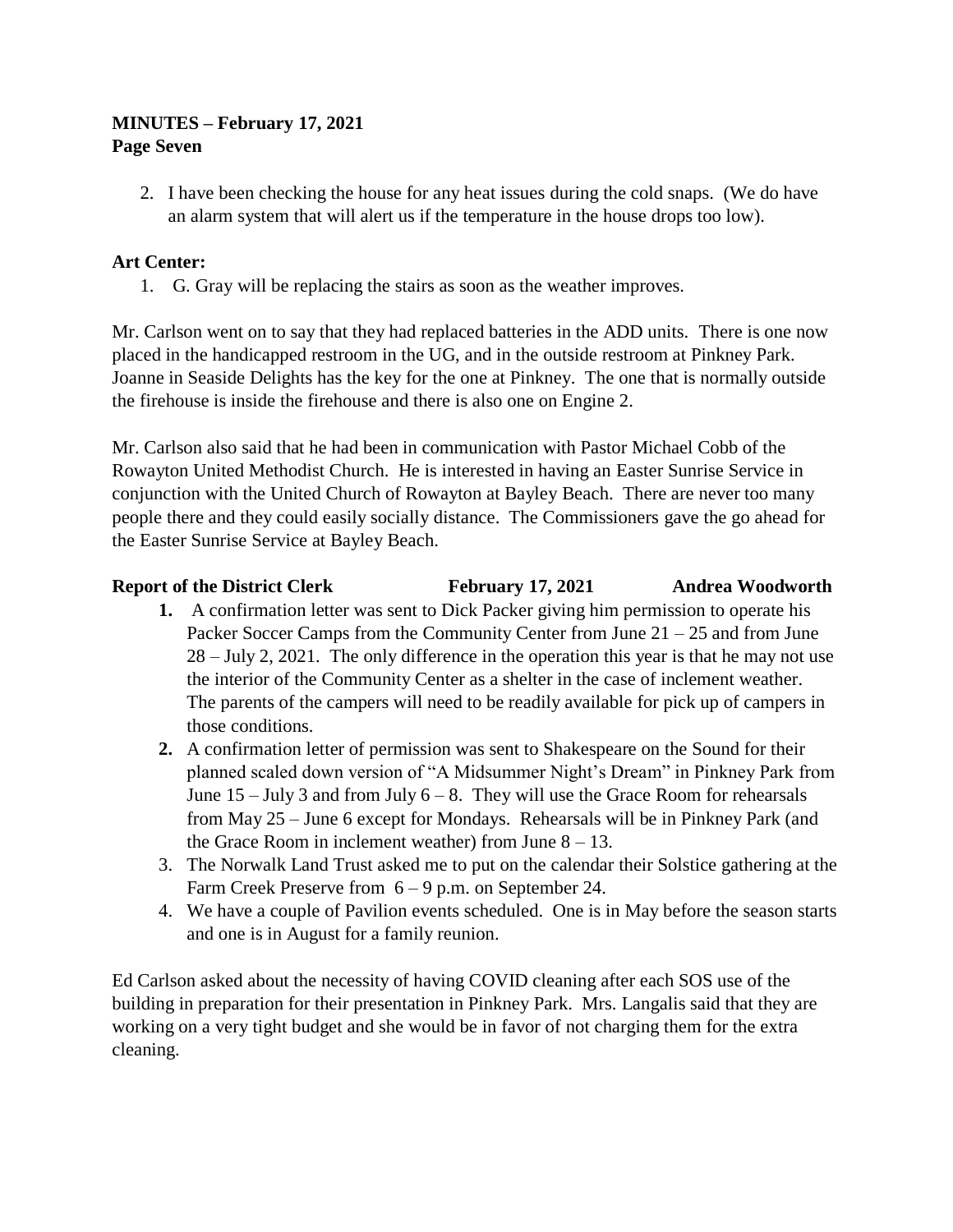# **MINUTES – February 17, 2021 Page Seven**

2. I have been checking the house for any heat issues during the cold snaps. (We do have an alarm system that will alert us if the temperature in the house drops too low).

# **Art Center:**

1. G. Gray will be replacing the stairs as soon as the weather improves.

Mr. Carlson went on to say that they had replaced batteries in the ADD units. There is one now placed in the handicapped restroom in the UG, and in the outside restroom at Pinkney Park. Joanne in Seaside Delights has the key for the one at Pinkney. The one that is normally outside the firehouse is inside the firehouse and there is also one on Engine 2.

Mr. Carlson also said that he had been in communication with Pastor Michael Cobb of the Rowayton United Methodist Church. He is interested in having an Easter Sunrise Service in conjunction with the United Church of Rowayton at Bayley Beach. There are never too many people there and they could easily socially distance. The Commissioners gave the go ahead for the Easter Sunrise Service at Bayley Beach.

# **Report of the District Clerk February 17, 2021 Andrea Woodworth**

- **1.** A confirmation letter was sent to Dick Packer giving him permission to operate his Packer Soccer Camps from the Community Center from June 21 – 25 and from June 28 – July 2, 2021. The only difference in the operation this year is that he may not use the interior of the Community Center as a shelter in the case of inclement weather. The parents of the campers will need to be readily available for pick up of campers in those conditions.
- **2.** A confirmation letter of permission was sent to Shakespeare on the Sound for their planned scaled down version of "A Midsummer Night's Dream" in Pinkney Park from June  $15 -$  July 3 and from July  $6 - 8$ . They will use the Grace Room for rehearsals from May 25 – June 6 except for Mondays. Rehearsals will be in Pinkney Park (and the Grace Room in inclement weather) from June  $8 - 13$ .
- 3. The Norwalk Land Trust asked me to put on the calendar their Solstice gathering at the Farm Creek Preserve from 6 – 9 p.m. on September 24.
- 4. We have a couple of Pavilion events scheduled. One is in May before the season starts and one is in August for a family reunion.

Ed Carlson asked about the necessity of having COVID cleaning after each SOS use of the building in preparation for their presentation in Pinkney Park. Mrs. Langalis said that they are working on a very tight budget and she would be in favor of not charging them for the extra cleaning.